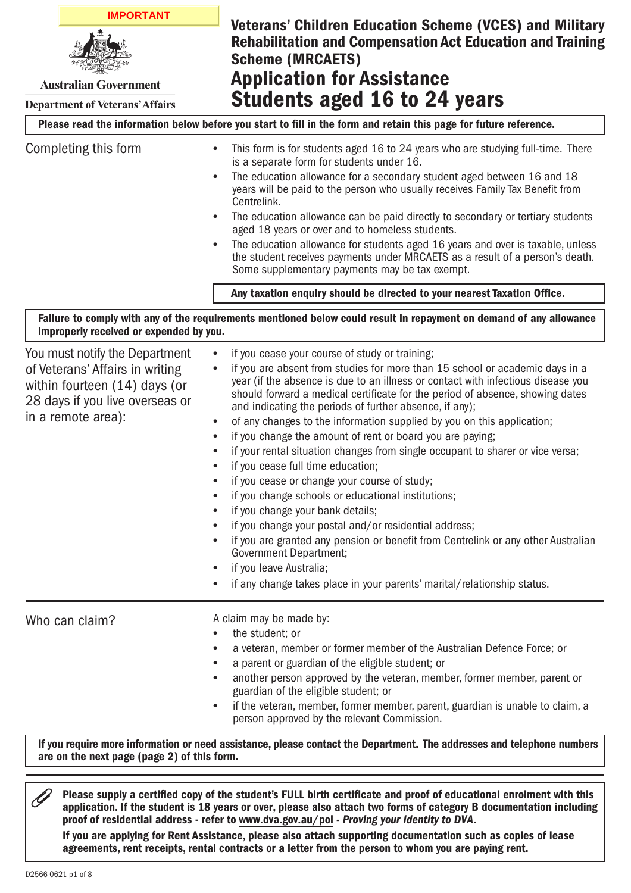**IMPORTANT**Veterans' Children Education Scheme (VCES) and Military Rehabilitation and Compensation Act Education and Training Scheme (MRCAETS) Application for Assistance **Australian Government** Students aged 16 to 24 years **Department of Veterans' Affairs** Please read the information below before you start to fill in the form and retain this page for future reference. Completing this form • This form is for students aged 16 to 24 years who are studying full-time. There is a separate form for students under 16. • The education allowance for a secondary student aged between 16 and 18 years will be paid to the person who usually receives Family Tax Benefit from Centrelink. • The education allowance can be paid directly to secondary or tertiary students aged 18 years or over and to homeless students. • The education allowance for students aged 16 years and over is taxable, unless the student receives payments under MRCAETS as a result of a person's death. Some supplementary payments may be tax exempt. Any taxation enquiry should be directed to your nearest Taxation Office. Failure to comply with any of the requirements mentioned below could result in repayment on demand of any allowance improperly received or expended by you. You must notify the Department • if you cease your course of study or training; if you are absent from studies for more than 15 school or academic days in a of Veterans' Affairs in writing • year (if the absence is due to an illness or contact with infectious disease you within fourteen (14) days (or should forward a medical certificate for the period of absence, showing dates 28 days if you live overseas or and indicating the periods of further absence, if any); in a remote area): • of any changes to the information supplied by you on this application; if you change the amount of rent or board you are paying; • if your rental situation changes from single occupant to sharer or vice versa; • if you cease full time education; • if you cease or change your course of study; • • if you change schools or educational institutions; if you change your bank details; • • if you change your postal and/or residential address; if you are granted any pension or benefit from Centrelink or any other Australian • Government Department; if you leave Australia; • • if any change takes place in your parents' marital/relationship status. Who can claim? A claim may be made by: • the student; or • a veteran, member or former member of the Australian Defence Force; or a parent or guardian of the eligible student; or • another person approved by the veteran, member, former member, parent or • guardian of the eligible student; or if the veteran, member, former member, parent, guardian is unable to claim, a • person approved by the relevant Commission. If you require more information or need assistance, please contact the Department. The addresses and telephone numbers are on the next page (page 2) of this form.

 $\mathscr{Q}$ Please supply a certified copy of the student's FULL birth certificate and proof of educational enrolment with this application. If the student is 18 years or over, please also attach two forms of category B documentation including proof of residential address - refer to <www.dva.gov.au/poi> *- Proving your Identity to DVA*. If you are applying for Rent Assistance, please also attach supporting documentation such as copies of lease agreements, rent receipts, rental contracts or a letter from the person to whom you are paying rent.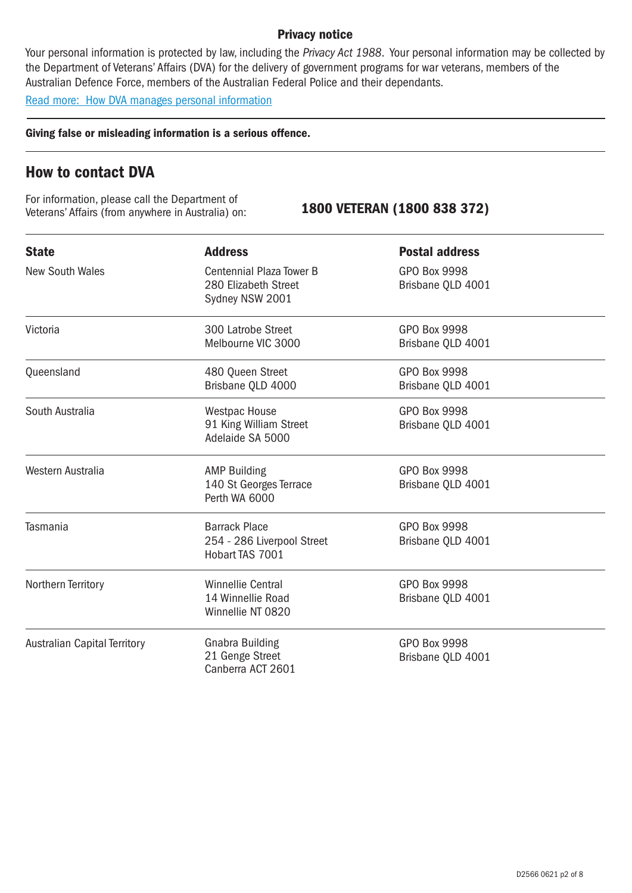## Privacy notice

Your personal information is protected by law, including the *Privacy Act 1988*. Your personal information may be collected by the Department of Veterans' Affairs (DVA) for the delivery of government programs for war veterans, members of the Australian Defence Force, members of the Australian Federal Police and their dependants.

[Read more: How DVA manages personal information](http://www.dva.gov.au/privacy)

Giving false or misleading information is a serious offence.

# How to contact DVA

For information, please call the Department of Veterans' Affairs (from anywhere in Australia) on: 1800 VETERAN (1800 838 372)

| <b>State</b>                        | <b>Address</b>                                                             | <b>Postal address</b>                    |  |
|-------------------------------------|----------------------------------------------------------------------------|------------------------------------------|--|
| <b>New South Wales</b>              | <b>Centennial Plaza Tower B</b><br>280 Elizabeth Street<br>Sydney NSW 2001 | <b>GPO Box 9998</b><br>Brisbane QLD 4001 |  |
| Victoria                            | 300 Latrobe Street<br>Melbourne VIC 3000                                   | <b>GPO Box 9998</b><br>Brisbane QLD 4001 |  |
| Queensland                          | 480 Queen Street<br>Brisbane QLD 4000                                      | <b>GPO Box 9998</b><br>Brisbane QLD 4001 |  |
| South Australia                     | <b>Westpac House</b><br>91 King William Street<br>Adelaide SA 5000         | <b>GPO Box 9998</b><br>Brisbane QLD 4001 |  |
| Western Australia                   | <b>AMP Building</b><br>140 St Georges Terrace<br>Perth WA 6000             | <b>GPO Box 9998</b><br>Brisbane QLD 4001 |  |
| Tasmania                            | <b>Barrack Place</b><br>254 - 286 Liverpool Street<br>Hobart TAS 7001      | <b>GPO Box 9998</b><br>Brisbane QLD 4001 |  |
| Northern Territory                  | <b>Winnellie Central</b><br>14 Winnellie Road<br>Winnellie NT 0820         | <b>GPO Box 9998</b><br>Brisbane QLD 4001 |  |
| <b>Australian Capital Territory</b> | <b>Gnabra Building</b><br>21 Genge Street<br>Canberra ACT 2601             | <b>GPO Box 9998</b><br>Brisbane QLD 4001 |  |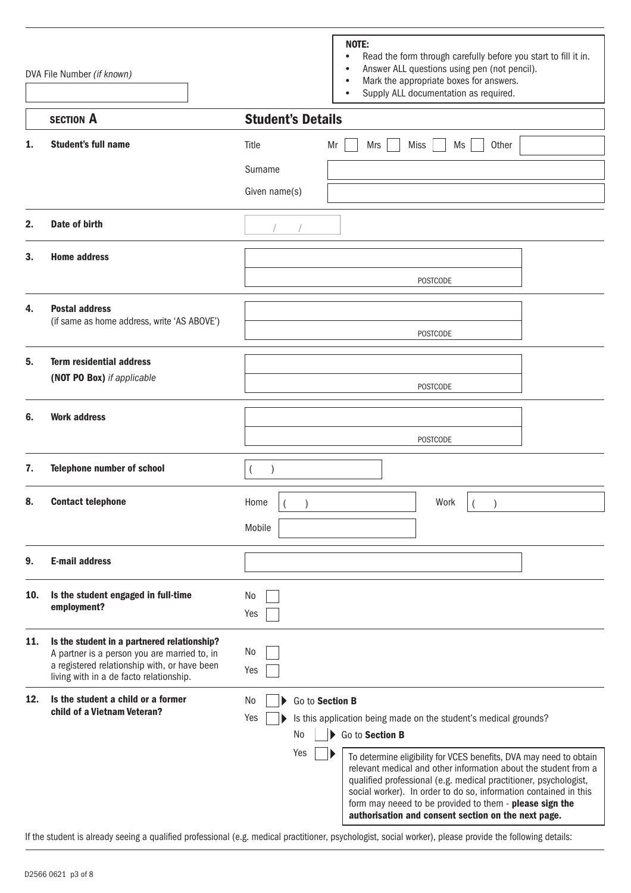|     | DVA File Number (if known)                                                                                                                                                             | NOTE:<br>Read the form through carefully before you start to fill it in.<br>$\bullet$<br>Answer ALL questions using pen (not pencil).<br>$\bullet$<br>Mark the appropriate boxes for answers.<br>$\bullet$<br>Supply ALL documentation as required.                                                                                                                                                                                                                                                                                 |  |
|-----|----------------------------------------------------------------------------------------------------------------------------------------------------------------------------------------|-------------------------------------------------------------------------------------------------------------------------------------------------------------------------------------------------------------------------------------------------------------------------------------------------------------------------------------------------------------------------------------------------------------------------------------------------------------------------------------------------------------------------------------|--|
|     | <b>SECTION A</b>                                                                                                                                                                       | <b>Student's Details</b>                                                                                                                                                                                                                                                                                                                                                                                                                                                                                                            |  |
| 1.  | <b>Student's full name</b>                                                                                                                                                             | Other<br>Title<br>Mr<br>Mrs<br><b>Miss</b><br>Ms                                                                                                                                                                                                                                                                                                                                                                                                                                                                                    |  |
|     |                                                                                                                                                                                        | Surname                                                                                                                                                                                                                                                                                                                                                                                                                                                                                                                             |  |
|     |                                                                                                                                                                                        | Given name(s)                                                                                                                                                                                                                                                                                                                                                                                                                                                                                                                       |  |
| 2.  | Date of birth                                                                                                                                                                          |                                                                                                                                                                                                                                                                                                                                                                                                                                                                                                                                     |  |
| 3.  | <b>Home address</b>                                                                                                                                                                    | <b>POSTCODE</b>                                                                                                                                                                                                                                                                                                                                                                                                                                                                                                                     |  |
| 4.  | <b>Postal address</b><br>(if same as home address, write 'AS ABOVE')                                                                                                                   | <b>POSTCODE</b>                                                                                                                                                                                                                                                                                                                                                                                                                                                                                                                     |  |
| 5.  | <b>Term residential address</b><br>(NOT PO Box) if applicable                                                                                                                          | <b>POSTCODE</b>                                                                                                                                                                                                                                                                                                                                                                                                                                                                                                                     |  |
| 6.  | <b>Work address</b>                                                                                                                                                                    | <b>POSTCODE</b>                                                                                                                                                                                                                                                                                                                                                                                                                                                                                                                     |  |
| 7.  | <b>Telephone number of school</b>                                                                                                                                                      |                                                                                                                                                                                                                                                                                                                                                                                                                                                                                                                                     |  |
| 8.  | <b>Contact telephone</b>                                                                                                                                                               | Work<br>Home<br>Mobile                                                                                                                                                                                                                                                                                                                                                                                                                                                                                                              |  |
| 9.  | <b>E-mail address</b>                                                                                                                                                                  |                                                                                                                                                                                                                                                                                                                                                                                                                                                                                                                                     |  |
| 10. | Is the student engaged in full-time<br>employment?                                                                                                                                     | No<br>Yes                                                                                                                                                                                                                                                                                                                                                                                                                                                                                                                           |  |
| 11. | Is the student in a partnered relationship?<br>A partner is a person you are married to, in<br>a registered relationship with, or have been<br>living with in a de facto relationship. | No<br>Yes                                                                                                                                                                                                                                                                                                                                                                                                                                                                                                                           |  |
| 12. | Is the student a child or a former<br>child of a Vietnam Veteran?                                                                                                                      | Go to Section B<br>No<br>Is this application being made on the student's medical grounds?<br>Yes<br>No<br>Go to Section B<br>Yes<br>To determine eligibility for VCES benefits, DVA may need to obtain<br>relevant medical and other information about the student from a<br>qualified professional (e.g. medical practitioner, psychologist,<br>social worker). In order to do so, information contained in this<br>form may neeed to be provided to them - please sign the<br>authorisation and consent section on the next page. |  |

If the student is already seeing a qualified professional (e.g. medical practitioner, psychologist, social worker), please provide the following details: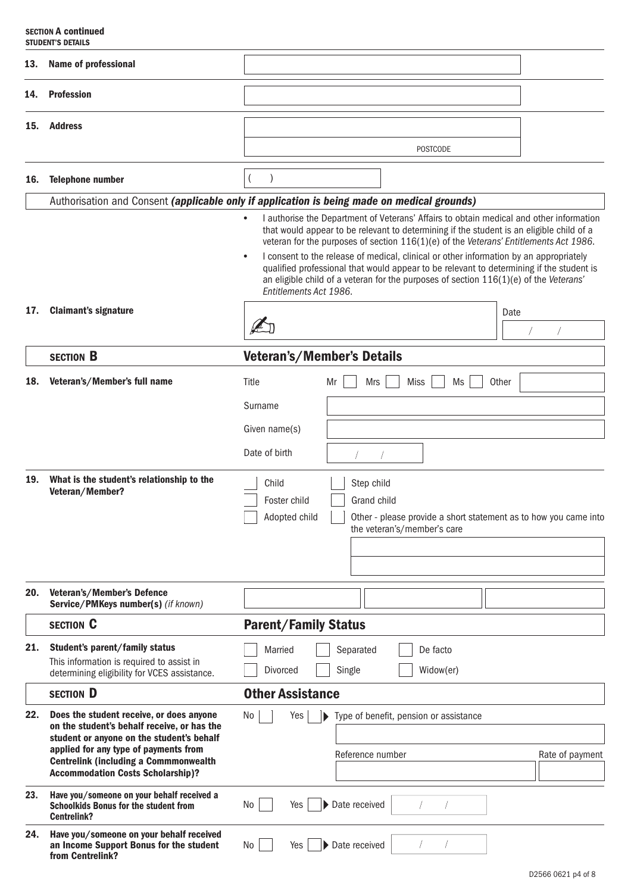### SECTION A continued STUDENT'S DETAILS

| 13.                                                       | <b>Name of professional</b>                                                                                                                                                                                                                                               |                                                                                                                                                                                                                                                                                                                                                                                                                                                                                                                                                                                                                   |  |  |
|-----------------------------------------------------------|---------------------------------------------------------------------------------------------------------------------------------------------------------------------------------------------------------------------------------------------------------------------------|-------------------------------------------------------------------------------------------------------------------------------------------------------------------------------------------------------------------------------------------------------------------------------------------------------------------------------------------------------------------------------------------------------------------------------------------------------------------------------------------------------------------------------------------------------------------------------------------------------------------|--|--|
| 14.                                                       | <b>Profession</b>                                                                                                                                                                                                                                                         |                                                                                                                                                                                                                                                                                                                                                                                                                                                                                                                                                                                                                   |  |  |
| 15.                                                       | <b>Address</b>                                                                                                                                                                                                                                                            |                                                                                                                                                                                                                                                                                                                                                                                                                                                                                                                                                                                                                   |  |  |
|                                                           |                                                                                                                                                                                                                                                                           | <b>POSTCODE</b>                                                                                                                                                                                                                                                                                                                                                                                                                                                                                                                                                                                                   |  |  |
| 16.                                                       | <b>Telephone number</b>                                                                                                                                                                                                                                                   |                                                                                                                                                                                                                                                                                                                                                                                                                                                                                                                                                                                                                   |  |  |
|                                                           |                                                                                                                                                                                                                                                                           | Authorisation and Consent (applicable only if application is being made on medical grounds)                                                                                                                                                                                                                                                                                                                                                                                                                                                                                                                       |  |  |
| 17.                                                       | <b>Claimant's signature</b>                                                                                                                                                                                                                                               | I authorise the Department of Veterans' Affairs to obtain medical and other information<br>$\bullet$<br>that would appear to be relevant to determining if the student is an eligible child of a<br>veteran for the purposes of section 116(1)(e) of the Veterans' Entitlements Act 1986.<br>I consent to the release of medical, clinical or other information by an appropriately<br>$\bullet$<br>qualified professional that would appear to be relevant to determining if the student is<br>an eligible child of a veteran for the purposes of section $116(1)(e)$ of the Veterans'<br>Entitlements Act 1986. |  |  |
|                                                           |                                                                                                                                                                                                                                                                           | Date<br>A                                                                                                                                                                                                                                                                                                                                                                                                                                                                                                                                                                                                         |  |  |
|                                                           |                                                                                                                                                                                                                                                                           |                                                                                                                                                                                                                                                                                                                                                                                                                                                                                                                                                                                                                   |  |  |
|                                                           | <b>SECTION B</b>                                                                                                                                                                                                                                                          | Veteran's/Member's Details                                                                                                                                                                                                                                                                                                                                                                                                                                                                                                                                                                                        |  |  |
| Veteran's/Member's full name<br>18.<br>Title<br>Mrs<br>Mr |                                                                                                                                                                                                                                                                           | <b>Miss</b><br>Other<br>Ms                                                                                                                                                                                                                                                                                                                                                                                                                                                                                                                                                                                        |  |  |
|                                                           |                                                                                                                                                                                                                                                                           | Surname                                                                                                                                                                                                                                                                                                                                                                                                                                                                                                                                                                                                           |  |  |
|                                                           |                                                                                                                                                                                                                                                                           | Given name(s)                                                                                                                                                                                                                                                                                                                                                                                                                                                                                                                                                                                                     |  |  |
|                                                           |                                                                                                                                                                                                                                                                           | Date of birth                                                                                                                                                                                                                                                                                                                                                                                                                                                                                                                                                                                                     |  |  |
| 19.                                                       | What is the student's relationship to the<br>Veteran/Member?                                                                                                                                                                                                              | Step child<br>Child<br>Foster child<br>Grand child<br>Adopted child<br>Other - please provide a short statement as to how you came into<br>the veteran's/member's care                                                                                                                                                                                                                                                                                                                                                                                                                                            |  |  |
|                                                           |                                                                                                                                                                                                                                                                           |                                                                                                                                                                                                                                                                                                                                                                                                                                                                                                                                                                                                                   |  |  |
| 20.                                                       | Veteran's/Member's Defence<br>Service/PMKeys number(s) (if known)                                                                                                                                                                                                         |                                                                                                                                                                                                                                                                                                                                                                                                                                                                                                                                                                                                                   |  |  |
|                                                           | <b>SECTION C</b>                                                                                                                                                                                                                                                          | <b>Parent/Family Status</b>                                                                                                                                                                                                                                                                                                                                                                                                                                                                                                                                                                                       |  |  |
| 21.                                                       | Student's parent/family status<br>This information is required to assist in<br>determining eligibility for VCES assistance.                                                                                                                                               | Married<br>De facto<br>Separated<br>Single<br><b>Divorced</b><br>Widow(er)                                                                                                                                                                                                                                                                                                                                                                                                                                                                                                                                        |  |  |
|                                                           | <b>SECTION D</b>                                                                                                                                                                                                                                                          | <b>Other Assistance</b>                                                                                                                                                                                                                                                                                                                                                                                                                                                                                                                                                                                           |  |  |
| 22.                                                       | Does the student receive, or does anyone<br>on the student's behalf receive, or has the<br>student or anyone on the student's behalf<br>applied for any type of payments from<br><b>Centrelink (including a Commmonwealth</b><br><b>Accommodation Costs Scholarship)?</b> | No<br>Type of benefit, pension or assistance<br>Yes<br>Þ.<br>Reference number<br>Rate of payment                                                                                                                                                                                                                                                                                                                                                                                                                                                                                                                  |  |  |
| 23.                                                       | Have you/someone on your behalf received a<br><b>Schoolkids Bonus for the student from</b><br><b>Centrelink?</b>                                                                                                                                                          | Date received<br>No<br>Yes                                                                                                                                                                                                                                                                                                                                                                                                                                                                                                                                                                                        |  |  |
| 24.                                                       | Have you/someone on your behalf received<br>an Income Support Bonus for the student<br>from Centrelink?                                                                                                                                                                   | Date received<br>No<br>Yes                                                                                                                                                                                                                                                                                                                                                                                                                                                                                                                                                                                        |  |  |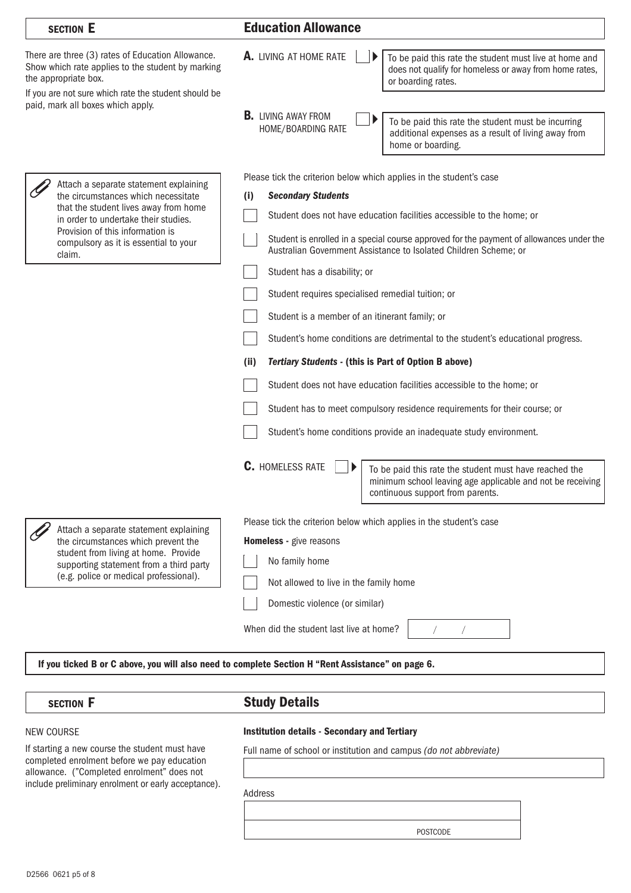| <b>SECTION E</b>                                                                                                                                                                                                            | <b>Education Allowance</b>                                                                                                                                                         |
|-----------------------------------------------------------------------------------------------------------------------------------------------------------------------------------------------------------------------------|------------------------------------------------------------------------------------------------------------------------------------------------------------------------------------|
| There are three (3) rates of Education Allowance.<br>Show which rate applies to the student by marking<br>the appropriate box.<br>If you are not sure which rate the student should be<br>paid, mark all boxes which apply. | A. LIVING AT HOME RATE<br>To be paid this rate the student must live at home and<br>does not qualify for homeless or away from home rates,<br>or boarding rates.                   |
|                                                                                                                                                                                                                             | <b>B.</b> LIVING AWAY FROM<br>To be paid this rate the student must be incurring<br>HOME/BOARDING RATE<br>additional expenses as a result of living away from<br>home or boarding. |
| Attach a separate statement explaining                                                                                                                                                                                      | Please tick the criterion below which applies in the student's case                                                                                                                |
| the circumstances which necessitate                                                                                                                                                                                         | <b>Secondary Students</b><br>$\mathbf{I}$                                                                                                                                          |
| that the student lives away from home<br>in order to undertake their studies.                                                                                                                                               | Student does not have education facilities accessible to the home; or                                                                                                              |
| Provision of this information is<br>compulsory as it is essential to your<br>claim.                                                                                                                                         | Student is enrolled in a special course approved for the payment of allowances under the<br>Australian Government Assistance to Isolated Children Scheme; or                       |
|                                                                                                                                                                                                                             | Student has a disability; or                                                                                                                                                       |
|                                                                                                                                                                                                                             | Student requires specialised remedial tuition; or                                                                                                                                  |
|                                                                                                                                                                                                                             | Student is a member of an itinerant family; or                                                                                                                                     |
|                                                                                                                                                                                                                             | Student's home conditions are detrimental to the student's educational progress.                                                                                                   |
|                                                                                                                                                                                                                             | <b>Tertiary Students - (this is Part of Option B above)</b><br>(ii)                                                                                                                |
|                                                                                                                                                                                                                             | Student does not have education facilities accessible to the home; or                                                                                                              |
|                                                                                                                                                                                                                             | Student has to meet compulsory residence requirements for their course; or                                                                                                         |
|                                                                                                                                                                                                                             | Student's home conditions provide an inadequate study environment.                                                                                                                 |
|                                                                                                                                                                                                                             | <b>C.</b> HOMELESS RATE<br>To be paid this rate the student must have reached the                                                                                                  |
|                                                                                                                                                                                                                             | minimum school leaving age applicable and not be receiving<br>continuous support from parents.                                                                                     |
|                                                                                                                                                                                                                             | Please tick the criterion below which applies in the student's case                                                                                                                |
| Attach a separate statement explaining<br>the circumstances which prevent the                                                                                                                                               | Homeless - give reasons                                                                                                                                                            |
| student from living at home. Provide<br>supporting statement from a third party                                                                                                                                             | No family home                                                                                                                                                                     |
| (e.g. police or medical professional).                                                                                                                                                                                      | Not allowed to live in the family home                                                                                                                                             |
|                                                                                                                                                                                                                             | Domestic violence (or similar)                                                                                                                                                     |
|                                                                                                                                                                                                                             | When did the student last live at home?                                                                                                                                            |
|                                                                                                                                                                                                                             |                                                                                                                                                                                    |

If you ticked B or C above, you will also need to complete Section H "Rent Assistance" on page 6.

## SECTION F SECTION F

### NEW COURSE

If starting a new course the student must have completed enrolment before we pay education allowance. ("Completed enrolment" does not include preliminary enrolment or early acceptance).

## Institution details - Secondary and Tertiary

Full name of school or institution and campus *(do not abbreviate)*

Address

POSTCODE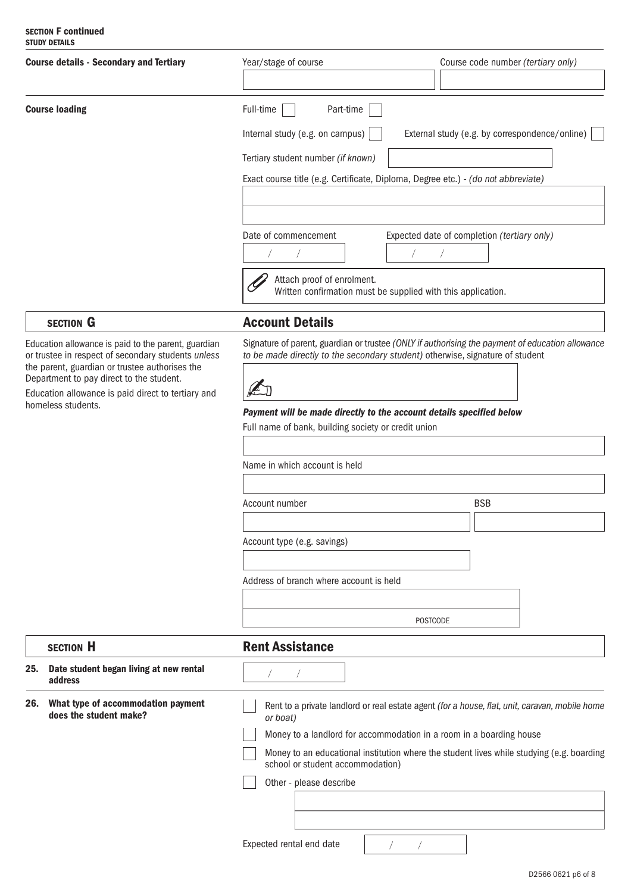### SECTION F continued STUDY DETAILS

| <b>Course details - Secondary and Tertiary</b>                                                                                                                                                                                                                |                                                              | Year/stage of course<br>Course code number (tertiary only)                                                 |                                                                                                                                                                                   |  |
|---------------------------------------------------------------------------------------------------------------------------------------------------------------------------------------------------------------------------------------------------------------|--------------------------------------------------------------|------------------------------------------------------------------------------------------------------------|-----------------------------------------------------------------------------------------------------------------------------------------------------------------------------------|--|
|                                                                                                                                                                                                                                                               |                                                              |                                                                                                            |                                                                                                                                                                                   |  |
| <b>Course loading</b>                                                                                                                                                                                                                                         |                                                              | Full-time<br>Part-time                                                                                     |                                                                                                                                                                                   |  |
|                                                                                                                                                                                                                                                               |                                                              | Internal study (e.g. on campus)<br>External study (e.g. by correspondence/online)                          |                                                                                                                                                                                   |  |
|                                                                                                                                                                                                                                                               |                                                              | Tertiary student number (if known)                                                                         |                                                                                                                                                                                   |  |
|                                                                                                                                                                                                                                                               |                                                              | Exact course title (e.g. Certificate, Diploma, Degree etc.) - (do not abbreviate)                          |                                                                                                                                                                                   |  |
|                                                                                                                                                                                                                                                               |                                                              |                                                                                                            |                                                                                                                                                                                   |  |
|                                                                                                                                                                                                                                                               |                                                              | Date of commencement<br>Expected date of completion (tertiary only)                                        |                                                                                                                                                                                   |  |
|                                                                                                                                                                                                                                                               |                                                              |                                                                                                            |                                                                                                                                                                                   |  |
|                                                                                                                                                                                                                                                               |                                                              | Attach proof of enrolment.<br>Written confirmation must be supplied with this application.                 |                                                                                                                                                                                   |  |
|                                                                                                                                                                                                                                                               | <b>SECTION G</b>                                             | <b>Account Details</b>                                                                                     |                                                                                                                                                                                   |  |
| Education allowance is paid to the parent, guardian<br>or trustee in respect of secondary students unless<br>the parent, guardian or trustee authorises the<br>Department to pay direct to the student.<br>Education allowance is paid direct to tertiary and |                                                              | ŁJ                                                                                                         | Signature of parent, guardian or trustee (ONLY if authorising the payment of education allowance<br>to be made directly to the secondary student) otherwise, signature of student |  |
|                                                                                                                                                                                                                                                               | homeless students.                                           | Payment will be made directly to the account details specified below                                       |                                                                                                                                                                                   |  |
|                                                                                                                                                                                                                                                               |                                                              | Full name of bank, building society or credit union                                                        |                                                                                                                                                                                   |  |
|                                                                                                                                                                                                                                                               |                                                              | Name in which account is held                                                                              |                                                                                                                                                                                   |  |
|                                                                                                                                                                                                                                                               |                                                              |                                                                                                            |                                                                                                                                                                                   |  |
|                                                                                                                                                                                                                                                               |                                                              | Account number                                                                                             | <b>BSB</b>                                                                                                                                                                        |  |
|                                                                                                                                                                                                                                                               |                                                              | Account type (e.g. savings)                                                                                |                                                                                                                                                                                   |  |
|                                                                                                                                                                                                                                                               |                                                              |                                                                                                            |                                                                                                                                                                                   |  |
|                                                                                                                                                                                                                                                               |                                                              | Address of branch where account is held                                                                    |                                                                                                                                                                                   |  |
|                                                                                                                                                                                                                                                               |                                                              |                                                                                                            |                                                                                                                                                                                   |  |
|                                                                                                                                                                                                                                                               |                                                              | <b>POSTCODE</b>                                                                                            |                                                                                                                                                                                   |  |
|                                                                                                                                                                                                                                                               | <b>SECTION H</b>                                             | <b>Rent Assistance</b>                                                                                     |                                                                                                                                                                                   |  |
| 25.                                                                                                                                                                                                                                                           | Date student began living at new rental<br>address           |                                                                                                            |                                                                                                                                                                                   |  |
| 26.                                                                                                                                                                                                                                                           | What type of accommodation payment<br>does the student make? | Rent to a private landlord or real estate agent (for a house, flat, unit, caravan, mobile home<br>or boat) |                                                                                                                                                                                   |  |
|                                                                                                                                                                                                                                                               |                                                              |                                                                                                            | Money to a landlord for accommodation in a room in a boarding house                                                                                                               |  |
|                                                                                                                                                                                                                                                               |                                                              | school or student accommodation)                                                                           | Money to an educational institution where the student lives while studying (e.g. boarding                                                                                         |  |
|                                                                                                                                                                                                                                                               |                                                              | Other - please describe                                                                                    |                                                                                                                                                                                   |  |
|                                                                                                                                                                                                                                                               |                                                              |                                                                                                            |                                                                                                                                                                                   |  |
|                                                                                                                                                                                                                                                               |                                                              |                                                                                                            |                                                                                                                                                                                   |  |
|                                                                                                                                                                                                                                                               |                                                              | Expected rental end date                                                                                   |                                                                                                                                                                                   |  |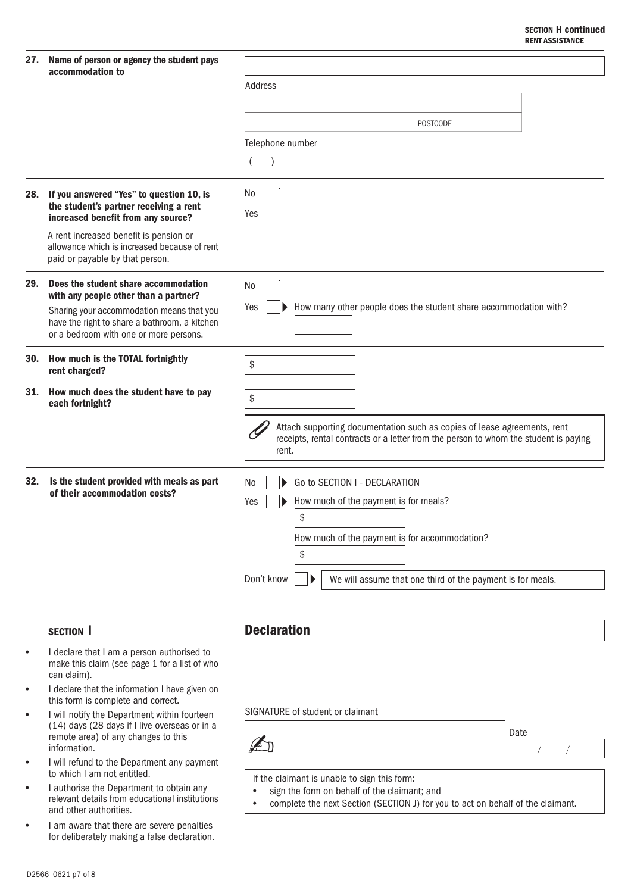### SECTION H continued RENT ASSISTANCE

| accommodation to                                                                                                                                                                                                      | Address                                                                                                                                                                                                                       |  |  |
|-----------------------------------------------------------------------------------------------------------------------------------------------------------------------------------------------------------------------|-------------------------------------------------------------------------------------------------------------------------------------------------------------------------------------------------------------------------------|--|--|
|                                                                                                                                                                                                                       |                                                                                                                                                                                                                               |  |  |
|                                                                                                                                                                                                                       | <b>POSTCODE</b>                                                                                                                                                                                                               |  |  |
|                                                                                                                                                                                                                       | Telephone number                                                                                                                                                                                                              |  |  |
|                                                                                                                                                                                                                       | $\lambda$                                                                                                                                                                                                                     |  |  |
| 28. If you answered "Yes" to question 10, is<br>the student's partner receiving a rent<br>increased benefit from any source?                                                                                          | No<br>Yes                                                                                                                                                                                                                     |  |  |
| A rent increased benefit is pension or<br>allowance which is increased because of rent<br>paid or payable by that person.                                                                                             |                                                                                                                                                                                                                               |  |  |
| Does the student share accommodation<br>with any people other than a partner?<br>Sharing your accommodation means that you<br>have the right to share a bathroom, a kitchen<br>or a bedroom with one or more persons. | No<br>How many other people does the student share accommodation with?<br>Yes                                                                                                                                                 |  |  |
| How much is the TOTAL fortnightly<br>rent charged?                                                                                                                                                                    | \$                                                                                                                                                                                                                            |  |  |
| 31. How much does the student have to pay<br>each fortnight?                                                                                                                                                          | \$                                                                                                                                                                                                                            |  |  |
|                                                                                                                                                                                                                       | Attach supporting documentation such as copies of lease agreements, rent<br>receipts, rental contracts or a letter from the person to whom the student is paying<br>rent.                                                     |  |  |
| Is the student provided with meals as part<br>of their accommodation costs?                                                                                                                                           | Go to SECTION I - DECLARATION<br>No.<br>How much of the payment is for meals?<br>Yes<br>\$<br>How much of the payment is for accommodation?<br>\$<br>Don't know<br>We will assume that one third of the payment is for meals. |  |  |
|                                                                                                                                                                                                                       |                                                                                                                                                                                                                               |  |  |

## SECTION I Declaration

- I declare that I am a person authorised to make this claim (see page 1 for a list of who can claim).
- I declare that the information I have given on this form is complete and correct. •
- I will notify the Department within fourteen (14) days (28 days if I live overseas or in a remote area) of any changes to this information. •
- I will refund to the Department any payment to which I am not entitled. •
- I authorise the Department to obtain any relevant details from educational institutions and other authorities. •
- I am aware that there are severe penalties for deliberately making a false declaration. •

SIGNATURE of student or claimant



If the claimant is unable to sign this form:

• sign the form on behalf of the claimant; and

• complete the next Section (SECTION J) for you to act on behalf of the claimant.